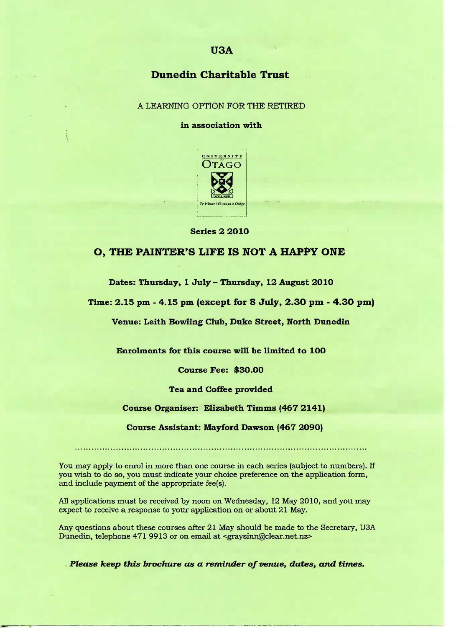# **USA**

## **Dunedin Charitable Trust**

A LEARNING OPTION FOR THE RETIRED

**in association with**



**Series 2 2010**

### **O, THE PAINTER'S LIFE IS NOT A HAPPY ONE**

**Dates: Thursday, 1 July** *-* **Thursday, 12 August 201O**

**Time: 2.15 pm - 4.15 pm (except for 8 July, 2.30 pm - 4.3O pm)**

**Venue: Leith Bowling Club, Duke Street, North Dunedin**

**Enrolments for this course will be limited to 1OO**

**Course Fee: \$30.00**

**Tea and Coffee provided**

#### **Course Organiser: Elizabeth Timms (467 2141)**

**Course Assistant: Mayford Dawson (467 209O)**

You may apply to enrol in more than one course in each series (subject to numbers). If you wish to do so, you must indicate your choice preference on the application form, and include payment of the appropriate fee(s).

All applications must be received by noon on Wednesday, 12 May 2010, and you may expect to receive a response to your application on or about 21 May.

Any questions about these courses after 21 May should be made to the Secretary, USA Dunedin, telephone 471 9913 or on email at <graysinn@clear.net.nz>

*Please keep this brochure as a reminder of venue, dates, and times.*